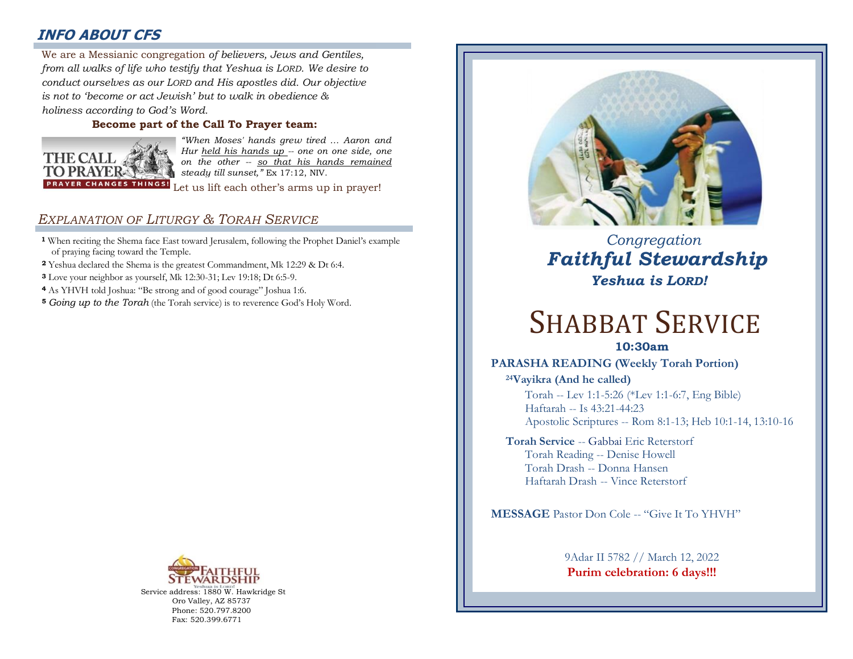## **INFO ABOUT CFS**

: *from all walks of life who testify that Yeshua is LORD. We desire to*  We are a Messianic congregation *of believers, Jews and Gentiles, conduct ourselves as our LORD and His apostles did. Our objective is not to 'become or act Jewish' but to walk in obedience & holiness according to God's Word.* 

#### **Become part of the Call To Prayer team:**



*"When Moses' hands grew tired … Aaron and Hur held his hands up -- one on one side, one on the other -- so that his hands remained steady till sunset,"* Ex 17:12, NIV.

Let us lift each other's arms up in prayer!

## *EXPLANATION OF LITURGY & TORAH SERVICE*

- **<sup>1</sup>** When reciting the Shema face East toward Jerusalem, following the Prophet Daniel's example of praying facing toward the Temple.
- **<sup>2</sup>** Yeshua declared the Shema is the greatest Commandment, Mk 12:29 & Dt 6:4.
- **<sup>3</sup>** Love your neighbor as yourself, Mk 12:30-31; Lev 19:18; Dt 6:5-9.
- **<sup>4</sup>** As YHVH told Joshua: "Be strong and of good courage" Joshua 1:6.
- **<sup>5</sup>** *Going up to the Torah* (the Torah service) is to reverence God's Holy Word.



Service address: 1880 W. Hawkridge St Oro Valley, AZ 85737 Phone: 520.797.8200 Fax: 520.399.6771



# *Congregation Faithful Stewardship Yeshua is LORD!*

# SHABBAT SERVICE

## **10:30am**

## **PARASHA READING (Weekly Torah Portion)**

**<sup>24</sup>Vayikra (And he called)** Torah -- Lev 1:1-5:26 (\*Lev 1:1-6:7, Eng Bible) Haftarah -- Is 43:21-44:23 Apostolic Scriptures -- Rom 8:1-13; Heb 10:1-14, 13:10-16

#### **Torah Service** -- Gabbai Eric Reterstorf Torah Reading -- Denise Howell Torah Drash -- Donna Hansen Haftarah Drash -- Vince Reterstorf

**MESSAGE** Pastor Don Cole -- "Give It To YHVH"

9Adar II 5782 // March 12, 2022 **Purim celebration: 6 days!!!**